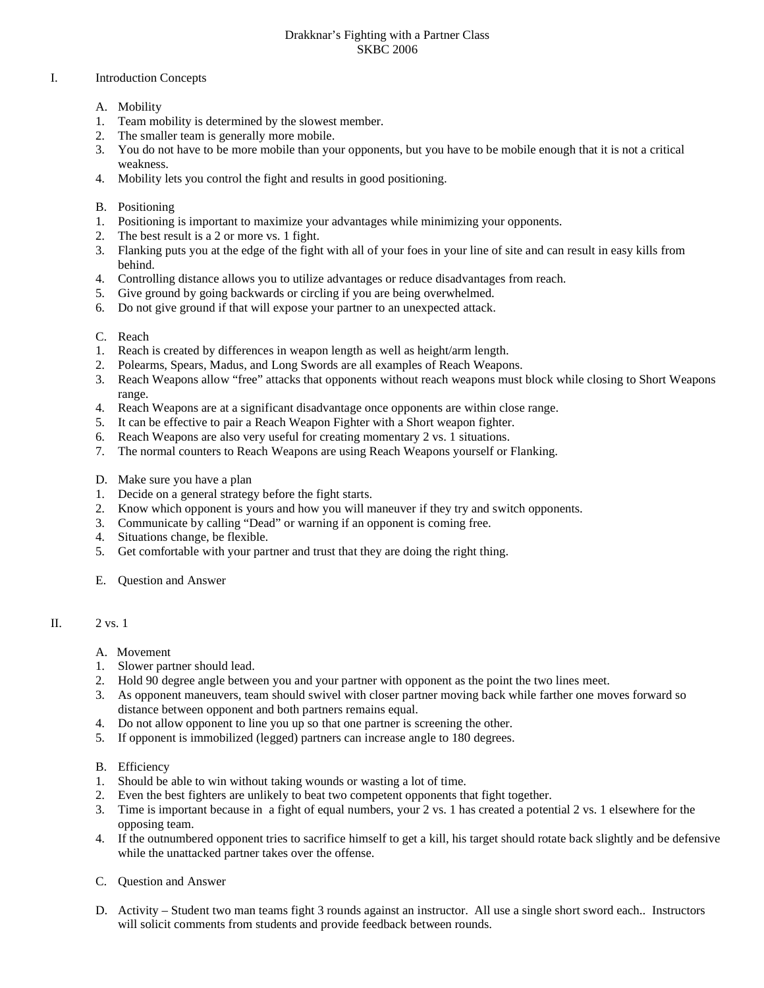## Drakknar's Fighting with a Partner Class SKBC 2006

## I. Introduction Concepts

- A. Mobility
- 1. Team mobility is determined by the slowest member.
- 2. The smaller team is generally more mobile.
- 3. You do not have to be more mobile than your opponents, but you have to be mobile enough that it is not a critical weakness.
- 4. Mobility lets you control the fight and results in good positioning.
- B. Positioning
- 1. Positioning is important to maximize your advantages while minimizing your opponents.
- 2. The best result is a 2 or more vs. 1 fight.
- 3. Flanking puts you at the edge of the fight with all of your foes in your line of site and can result in easy kills from behind.
- 4. Controlling distance allows you to utilize advantages or reduce disadvantages from reach.
- 5. Give ground by going backwards or circling if you are being overwhelmed.
- 6. Do not give ground if that will expose your partner to an unexpected attack.
- C. Reach
- 1. Reach is created by differences in weapon length as well as height/arm length.
- 2. Polearms, Spears, Madus, and Long Swords are all examples of Reach Weapons.
- 3. Reach Weapons allow "free" attacks that opponents without reach weapons must block while closing to Short Weapons range.
- 4. Reach Weapons are at a significant disadvantage once opponents are within close range.
- 5. It can be effective to pair a Reach Weapon Fighter with a Short weapon fighter.
- 6. Reach Weapons are also very useful for creating momentary 2 vs. 1 situations.
- 7. The normal counters to Reach Weapons are using Reach Weapons yourself or Flanking.
- D. Make sure you have a plan
- 1. Decide on a general strategy before the fight starts.
- 2. Know which opponent is yours and how you will maneuver if they try and switch opponents.
- 3. Communicate by calling "Dead" or warning if an opponent is coming free.
- 4. Situations change, be flexible.
- 5. Get comfortable with your partner and trust that they are doing the right thing.
- E. Question and Answer

## II. 2 vs. 1

- A. Movement
- 1. Slower partner should lead.
- 2. Hold 90 degree angle between you and your partner with opponent as the point the two lines meet.
- 3. As opponent maneuvers, team should swivel with closer partner moving back while farther one moves forward so distance between opponent and both partners remains equal.
- 4. Do not allow opponent to line you up so that one partner is screening the other.
- 5. If opponent is immobilized (legged) partners can increase angle to 180 degrees.
- B. Efficiency
- 1. Should be able to win without taking wounds or wasting a lot of time.
- 2. Even the best fighters are unlikely to beat two competent opponents that fight together.
- 3. Time is important because in a fight of equal numbers, your 2 vs. 1 has created a potential 2 vs. 1 elsewhere for the opposing team.
- 4. If the outnumbered opponent tries to sacrifice himself to get a kill, his target should rotate back slightly and be defensive while the unattacked partner takes over the offense.
- C. Question and Answer
- D. Activity Student two man teams fight 3 rounds against an instructor. All use a single short sword each.. Instructors will solicit comments from students and provide feedback between rounds.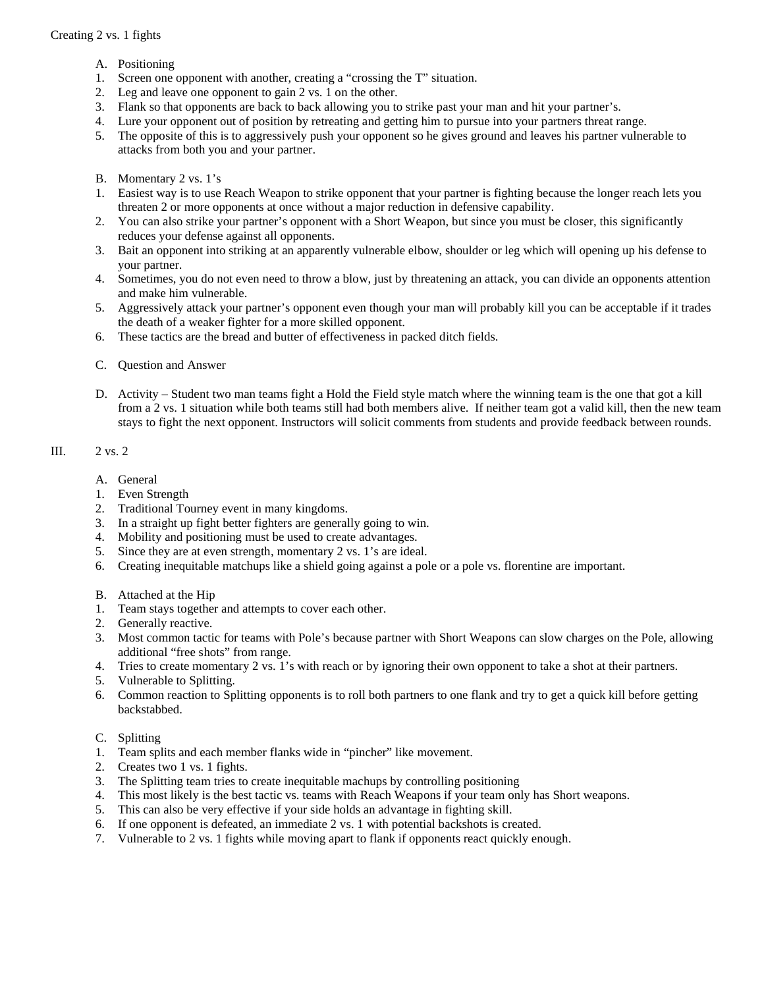- A. Positioning
- 1. Screen one opponent with another, creating a "crossing the T" situation.
- 2. Leg and leave one opponent to gain 2 vs. 1 on the other.
- 3. Flank so that opponents are back to back allowing you to strike past your man and hit your partner's.
- 4. Lure your opponent out of position by retreating and getting him to pursue into your partners threat range.
- 5. The opposite of this is to aggressively push your opponent so he gives ground and leaves his partner vulnerable to attacks from both you and your partner.
- B. Momentary 2 vs. 1's
- 1. Easiest way is to use Reach Weapon to strike opponent that your partner is fighting because the longer reach lets you threaten 2 or more opponents at once without a major reduction in defensive capability.
- 2. You can also strike your partner's opponent with a Short Weapon, but since you must be closer, this significantly reduces your defense against all opponents.
- 3. Bait an opponent into striking at an apparently vulnerable elbow, shoulder or leg which will opening up his defense to your partner.
- 4. Sometimes, you do not even need to throw a blow, just by threatening an attack, you can divide an opponents attention and make him vulnerable.
- 5. Aggressively attack your partner's opponent even though your man will probably kill you can be acceptable if it trades the death of a weaker fighter for a more skilled opponent.
- 6. These tactics are the bread and butter of effectiveness in packed ditch fields.
- C. Question and Answer
- D. Activity Student two man teams fight a Hold the Field style match where the winning team is the one that got a kill from a 2 vs. 1 situation while both teams still had both members alive. If neither team got a valid kill, then the new team stays to fight the next opponent. Instructors will solicit comments from students and provide feedback between rounds.

## III. 2 vs. 2

- A. General
- 1. Even Strength
- 2. Traditional Tourney event in many kingdoms.
- 3. In a straight up fight better fighters are generally going to win.
- 4. Mobility and positioning must be used to create advantages.
- 5. Since they are at even strength, momentary 2 vs. 1's are ideal.
- 6. Creating inequitable matchups like a shield going against a pole or a pole vs. florentine are important.
- B. Attached at the Hip
- 1. Team stays together and attempts to cover each other.
- 2. Generally reactive.
- 3. Most common tactic for teams with Pole's because partner with Short Weapons can slow charges on the Pole, allowing additional "free shots" from range.
- 4. Tries to create momentary 2 vs. 1's with reach or by ignoring their own opponent to take a shot at their partners.
- 5. Vulnerable to Splitting.
- 6. Common reaction to Splitting opponents is to roll both partners to one flank and try to get a quick kill before getting backstabbed.
- C. Splitting
- 1. Team splits and each member flanks wide in "pincher" like movement.
- 2. Creates two 1 vs. 1 fights.
- 3. The Splitting team tries to create inequitable machups by controlling positioning
- 4. This most likely is the best tactic vs. teams with Reach Weapons if your team only has Short weapons.
- 5. This can also be very effective if your side holds an advantage in fighting skill.
- 6. If one opponent is defeated, an immediate 2 vs. 1 with potential backshots is created.
- 7. Vulnerable to 2 vs. 1 fights while moving apart to flank if opponents react quickly enough.